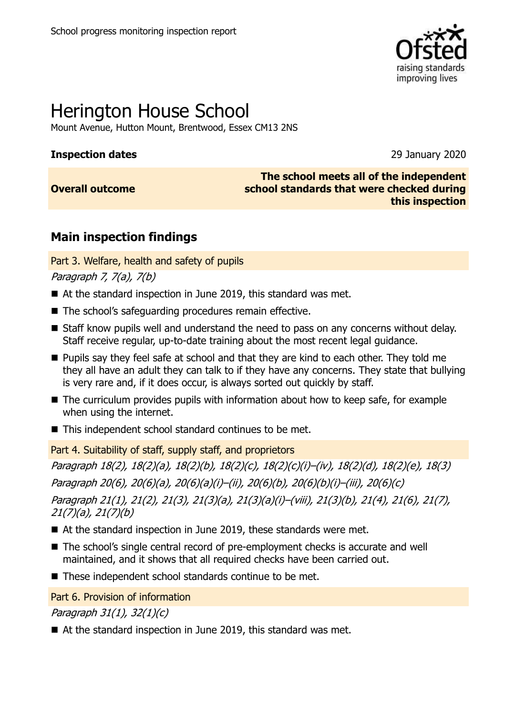

# Herington House School

Mount Avenue, Hutton Mount, Brentwood, Essex CM13 2NS

#### **Inspection dates** 29 January 2020

**Overall outcome**

**The school meets all of the independent school standards that were checked during this inspection**

## **Main inspection findings**

Part 3. Welfare, health and safety of pupils

Paragraph 7, 7(a), 7(b)

- At the standard inspection in June 2019, this standard was met.
- The school's safeguarding procedures remain effective.
- Staff know pupils well and understand the need to pass on any concerns without delay. Staff receive regular, up-to-date training about the most recent legal guidance.
- **Pupils say they feel safe at school and that they are kind to each other. They told me** they all have an adult they can talk to if they have any concerns. They state that bullying is very rare and, if it does occur, is always sorted out quickly by staff.
- The curriculum provides pupils with information about how to keep safe, for example when using the internet.
- This independent school standard continues to be met.

Part 4. Suitability of staff, supply staff, and proprietors

Paragraph 18(2), 18(2)(a), 18(2)(b), 18(2)(c), 18(2)(c)(i)–(iv), 18(2)(d), 18(2)(e), 18(3) Paragraph 20(6), 20(6)(a), 20(6)(a)(i)–(ii), 20(6)(b), 20(6)(b)(i)–(iii), 20(6)(c) Paragraph 21(1), 21(2), 21(3), 21(3)(a), 21(3)(a)(i)–(viii), 21(3)(b), 21(4), 21(6), 21(7), 21(7)(a), 21(7)(b)

- At the standard inspection in June 2019, these standards were met.
- The school's single central record of pre-employment checks is accurate and well maintained, and it shows that all required checks have been carried out.
- These independent school standards continue to be met.

Part 6. Provision of information

Paragraph 31(1), 32(1)(c)

■ At the standard inspection in June 2019, this standard was met.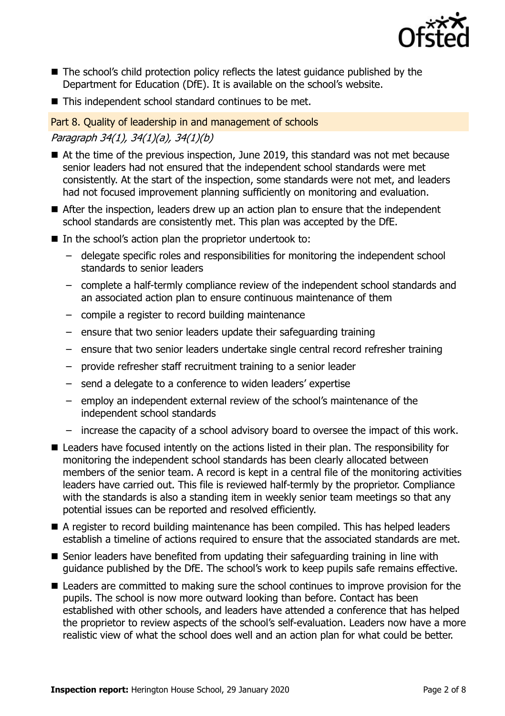

- The school's child protection policy reflects the latest guidance published by the Department for Education (DfE). It is available on the school's website.
- This independent school standard continues to be met.

#### Part 8. Quality of leadership in and management of schools

### Paragraph 34(1), 34(1)(a), 34(1)(b)

- At the time of the previous inspection, June 2019, this standard was not met because senior leaders had not ensured that the independent school standards were met consistently. At the start of the inspection, some standards were not met, and leaders had not focused improvement planning sufficiently on monitoring and evaluation.
- After the inspection, leaders drew up an action plan to ensure that the independent school standards are consistently met. This plan was accepted by the DfE.
- In the school's action plan the proprietor undertook to:
	- delegate specific roles and responsibilities for monitoring the independent school standards to senior leaders
	- complete a half-termly compliance review of the independent school standards and an associated action plan to ensure continuous maintenance of them
	- compile a register to record building maintenance
	- ensure that two senior leaders update their safeguarding training
	- ensure that two senior leaders undertake single central record refresher training
	- provide refresher staff recruitment training to a senior leader
	- send a delegate to a conference to widen leaders' expertise
	- employ an independent external review of the school's maintenance of the independent school standards
	- increase the capacity of a school advisory board to oversee the impact of this work.
- Leaders have focused intently on the actions listed in their plan. The responsibility for monitoring the independent school standards has been clearly allocated between members of the senior team. A record is kept in a central file of the monitoring activities leaders have carried out. This file is reviewed half-termly by the proprietor. Compliance with the standards is also a standing item in weekly senior team meetings so that any potential issues can be reported and resolved efficiently.
- A register to record building maintenance has been compiled. This has helped leaders establish a timeline of actions required to ensure that the associated standards are met.
- Senior leaders have benefited from updating their safeguarding training in line with guidance published by the DfE. The school's work to keep pupils safe remains effective.
- Leaders are committed to making sure the school continues to improve provision for the pupils. The school is now more outward looking than before. Contact has been established with other schools, and leaders have attended a conference that has helped the proprietor to review aspects of the school's self-evaluation. Leaders now have a more realistic view of what the school does well and an action plan for what could be better.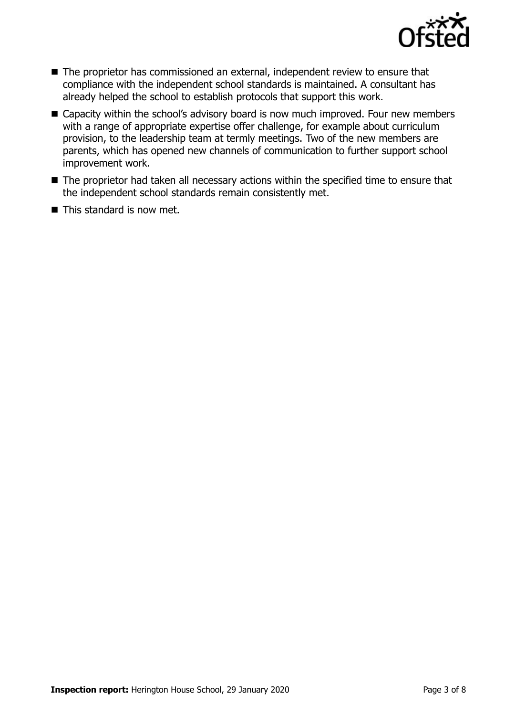

- The proprietor has commissioned an external, independent review to ensure that compliance with the independent school standards is maintained. A consultant has already helped the school to establish protocols that support this work.
- Capacity within the school's advisory board is now much improved. Four new members with a range of appropriate expertise offer challenge, for example about curriculum provision, to the leadership team at termly meetings. Two of the new members are parents, which has opened new channels of communication to further support school improvement work.
- The proprietor had taken all necessary actions within the specified time to ensure that the independent school standards remain consistently met.
- $\blacksquare$  This standard is now met.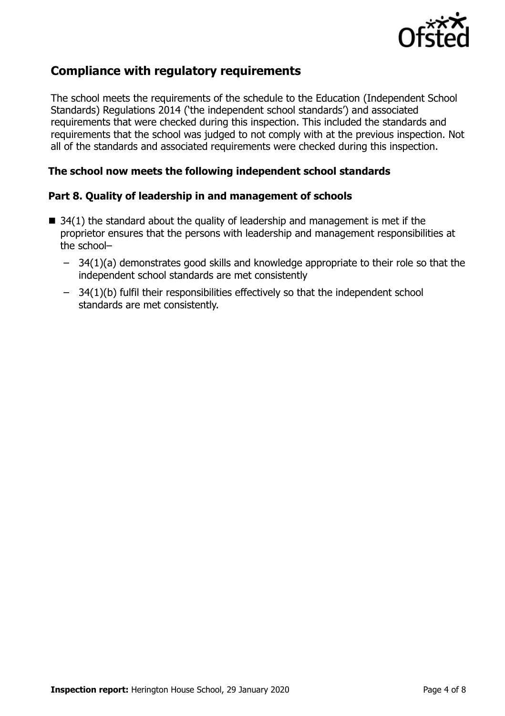

## **Compliance with regulatory requirements**

The school meets the requirements of the schedule to the Education (Independent School Standards) Regulations 2014 ('the independent school standards') and associated requirements that were checked during this inspection. This included the standards and requirements that the school was judged to not comply with at the previous inspection. Not all of the standards and associated requirements were checked during this inspection.

#### **The school now meets the following independent school standards**

#### **Part 8. Quality of leadership in and management of schools**

- $\blacksquare$  34(1) the standard about the quality of leadership and management is met if the proprietor ensures that the persons with leadership and management responsibilities at the school–
	- 34(1)(a) demonstrates good skills and knowledge appropriate to their role so that the independent school standards are met consistently
	- 34(1)(b) fulfil their responsibilities effectively so that the independent school standards are met consistently.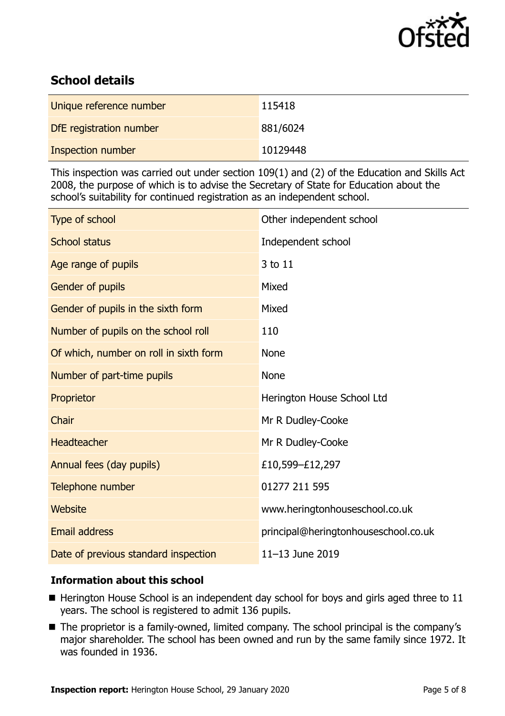

## **School details**

| Unique reference number | 115418   |
|-------------------------|----------|
| DfE registration number | 881/6024 |
| Inspection number       | 10129448 |

This inspection was carried out under section 109(1) and (2) of the Education and Skills Act 2008, the purpose of which is to advise the Secretary of State for Education about the school's suitability for continued registration as an independent school.

| Type of school                         | Other independent school             |
|----------------------------------------|--------------------------------------|
| <b>School status</b>                   | Independent school                   |
| Age range of pupils                    | 3 to 11                              |
| Gender of pupils                       | Mixed                                |
| Gender of pupils in the sixth form     | Mixed                                |
| Number of pupils on the school roll    | 110                                  |
| Of which, number on roll in sixth form | <b>None</b>                          |
| Number of part-time pupils             | <b>None</b>                          |
| Proprietor                             | Herington House School Ltd           |
| Chair                                  | Mr R Dudley-Cooke                    |
| <b>Headteacher</b>                     | Mr R Dudley-Cooke                    |
| Annual fees (day pupils)               | £10,599-£12,297                      |
| Telephone number                       | 01277 211 595                        |
| Website                                | www.heringtonhouseschool.co.uk       |
| <b>Email address</b>                   | principal@heringtonhouseschool.co.uk |
| Date of previous standard inspection   | 11-13 June 2019                      |

#### **Information about this school**

- $\blacksquare$  Herington House School is an independent day school for boys and girls aged three to 11 years. The school is registered to admit 136 pupils.
- The proprietor is a family-owned, limited company. The school principal is the company's major shareholder. The school has been owned and run by the same family since 1972. It was founded in 1936.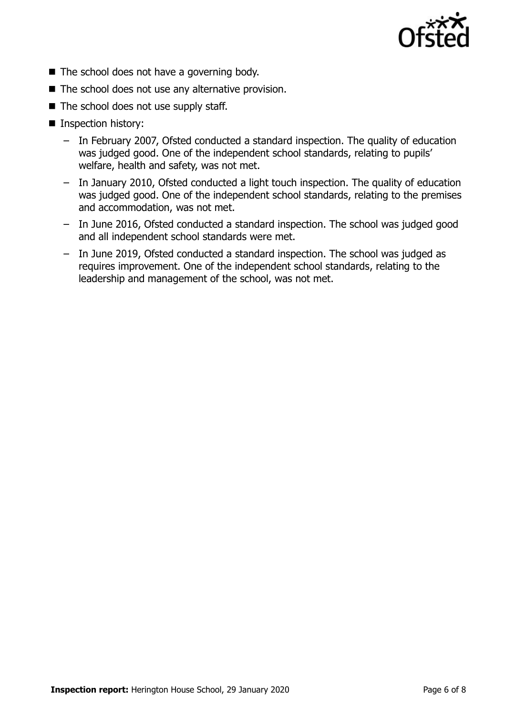

- $\blacksquare$  The school does not have a governing body.
- $\blacksquare$  The school does not use any alternative provision.
- $\blacksquare$  The school does not use supply staff.
- Inspection history:
	- In February 2007, Ofsted conducted a standard inspection. The quality of education was judged good. One of the independent school standards, relating to pupils' welfare, health and safety, was not met.
	- In January 2010, Ofsted conducted a light touch inspection. The quality of education was judged good. One of the independent school standards, relating to the premises and accommodation, was not met.
	- In June 2016, Ofsted conducted a standard inspection. The school was judged good and all independent school standards were met.
	- In June 2019, Ofsted conducted a standard inspection. The school was judged as requires improvement. One of the independent school standards, relating to the leadership and management of the school, was not met.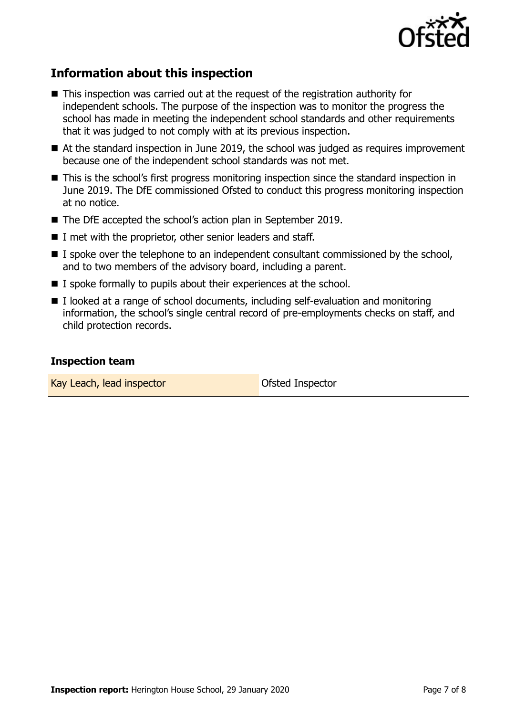

## **Information about this inspection**

- This inspection was carried out at the request of the registration authority for independent schools. The purpose of the inspection was to monitor the progress the school has made in meeting the independent school standards and other requirements that it was judged to not comply with at its previous inspection.
- At the standard inspection in June 2019, the school was judged as requires improvement because one of the independent school standards was not met.
- This is the school's first progress monitoring inspection since the standard inspection in June 2019. The DfE commissioned Ofsted to conduct this progress monitoring inspection at no notice.
- The DfE accepted the school's action plan in September 2019.
- $\blacksquare$  I met with the proprietor, other senior leaders and staff.
- $\blacksquare$  I spoke over the telephone to an independent consultant commissioned by the school, and to two members of the advisory board, including a parent.
- $\blacksquare$  I spoke formally to pupils about their experiences at the school.
- I looked at a range of school documents, including self-evaluation and monitoring information, the school's single central record of pre-employments checks on staff, and child protection records.

#### **Inspection team**

Kay Leach, lead inspector **CEA** COMEX COSted Inspector